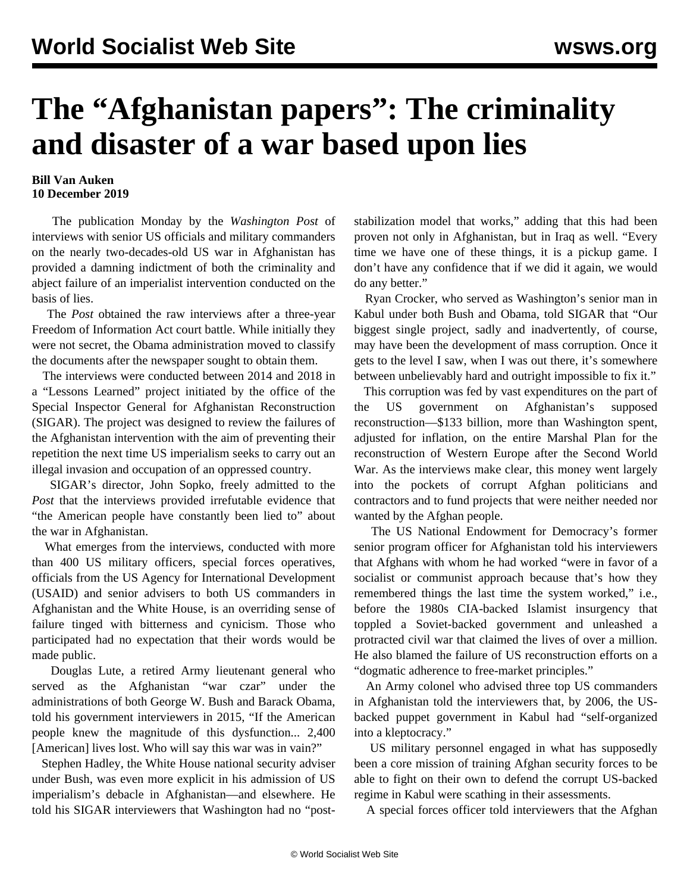## **The "Afghanistan papers": The criminality and disaster of a war based upon lies**

## **Bill Van Auken 10 December 2019**

 The publication Monday by the *Washington Post* of interviews with senior US officials and military commanders on the nearly two-decades-old US war in Afghanistan has provided a damning indictment of both the criminality and abject failure of an imperialist intervention conducted on the basis of lies.

 The *Post* obtained the raw interviews after a three-year Freedom of Information Act court battle. While initially they were not secret, the Obama administration moved to classify the documents after the newspaper sought to obtain them.

 The interviews were conducted between 2014 and 2018 in a "Lessons Learned" project initiated by the office of the Special Inspector General for Afghanistan Reconstruction (SIGAR). The project was designed to review the failures of the Afghanistan intervention with the aim of preventing their repetition the next time US imperialism seeks to carry out an illegal invasion and occupation of an oppressed country.

 SIGAR's director, John Sopko, freely admitted to the *Post* that the interviews provided irrefutable evidence that "the American people have constantly been lied to" about the war in Afghanistan.

 What emerges from the interviews, conducted with more than 400 US military officers, special forces operatives, officials from the US Agency for International Development (USAID) and senior advisers to both US commanders in Afghanistan and the White House, is an overriding sense of failure tinged with bitterness and cynicism. Those who participated had no expectation that their words would be made public.

 Douglas Lute, a retired Army lieutenant general who served as the Afghanistan "war czar" under the administrations of both George W. Bush and Barack Obama, told his government interviewers in 2015, "If the American people knew the magnitude of this dysfunction... 2,400 [American] lives lost. Who will say this war was in vain?"

 Stephen Hadley, the White House national security adviser under Bush, was even more explicit in his admission of US imperialism's debacle in Afghanistan—and elsewhere. He told his SIGAR interviewers that Washington had no "poststabilization model that works," adding that this had been proven not only in Afghanistan, but in Iraq as well. "Every time we have one of these things, it is a pickup game. I don't have any confidence that if we did it again, we would do any better."

 Ryan Crocker, who served as Washington's senior man in Kabul under both Bush and Obama, told SIGAR that "Our biggest single project, sadly and inadvertently, of course, may have been the development of mass corruption. Once it gets to the level I saw, when I was out there, it's somewhere between unbelievably hard and outright impossible to fix it."

 This corruption was fed by vast expenditures on the part of the US government on Afghanistan's supposed reconstruction—\$133 billion, more than Washington spent, adjusted for inflation, on the entire Marshal Plan for the reconstruction of Western Europe after the Second World War. As the interviews make clear, this money went largely into the pockets of corrupt Afghan politicians and contractors and to fund projects that were neither needed nor wanted by the Afghan people.

 The US National Endowment for Democracy's former senior program officer for Afghanistan told his interviewers that Afghans with whom he had worked "were in favor of a socialist or communist approach because that's how they remembered things the last time the system worked," i.e., before the 1980s CIA-backed Islamist insurgency that toppled a Soviet-backed government and unleashed a protracted civil war that claimed the lives of over a million. He also blamed the failure of US reconstruction efforts on a "dogmatic adherence to free-market principles."

 An Army colonel who advised three top US commanders in Afghanistan told the interviewers that, by 2006, the USbacked puppet government in Kabul had "self-organized into a kleptocracy."

 US military personnel engaged in what has supposedly been a core mission of training Afghan security forces to be able to fight on their own to defend the corrupt US-backed regime in Kabul were scathing in their assessments.

A special forces officer told interviewers that the Afghan